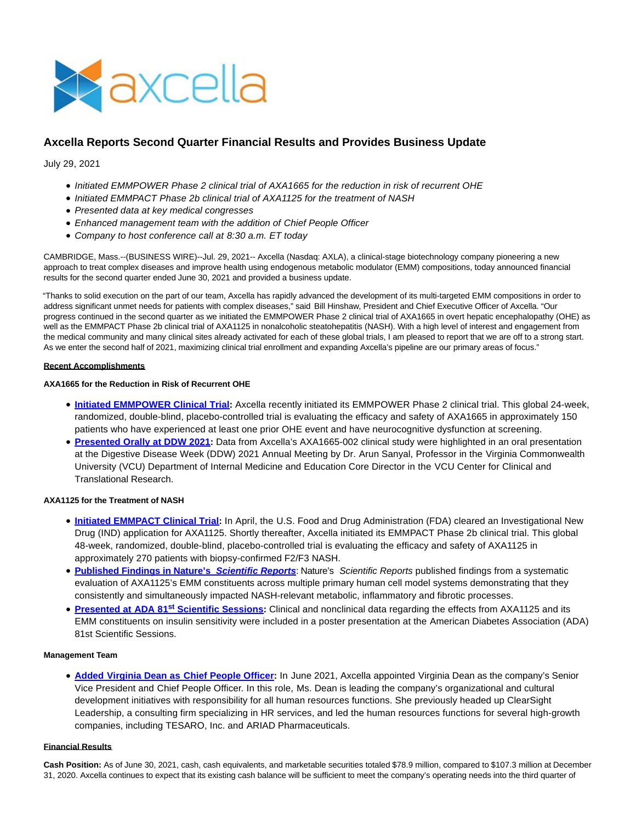

# **Axcella Reports Second Quarter Financial Results and Provides Business Update**

July 29, 2021

- Initiated EMMPOWER Phase 2 clinical trial of AXA1665 for the reduction in risk of recurrent OHE
- Initiated EMMPACT Phase 2b clinical trial of AXA1125 for the treatment of NASH
- Presented data at key medical congresses
- Enhanced management team with the addition of Chief People Officer
- Company to host conference call at 8:30 a.m. ET today

CAMBRIDGE, Mass.--(BUSINESS WIRE)--Jul. 29, 2021-- Axcella (Nasdaq: AXLA), a clinical-stage biotechnology company pioneering a new approach to treat complex diseases and improve health using endogenous metabolic modulator (EMM) compositions, today announced financial results for the second quarter ended June 30, 2021 and provided a business update.

"Thanks to solid execution on the part of our team, Axcella has rapidly advanced the development of its multi-targeted EMM compositions in order to address significant unmet needs for patients with complex diseases," said Bill Hinshaw, President and Chief Executive Officer of Axcella. "Our progress continued in the second quarter as we initiated the EMMPOWER Phase 2 clinical trial of AXA1665 in overt hepatic encephalopathy (OHE) as well as the EMMPACT Phase 2b clinical trial of AXA1125 in nonalcoholic steatohepatitis (NASH). With a high level of interest and engagement from the medical community and many clinical sites already activated for each of these global trials, I am pleased to report that we are off to a strong start. As we enter the second half of 2021, maximizing clinical trial enrollment and expanding Axcella's pipeline are our primary areas of focus."

#### **Recent Accomplishments**

#### **AXA1665 for the Reduction in Risk of Recurrent OHE**

- **[Initiated EMMPOWER Clinical Trial:](https://cts.businesswire.com/ct/CT?id=smartlink&url=https%3A%2F%2Fir.axcellahealth.com%2Fnews-releases%2Fnews-release-details%2Faxcella-announces-initiation-emmpowersm-phase-2-clinical-trial&esheet=52467766&newsitemid=20210729005112&lan=en-US&anchor=Initiated+EMMPOWER+Clinical+Trial&index=1&md5=ed049fb40233c25473b45516e77d60ba)** Axcella recently initiated its EMMPOWER Phase 2 clinical trial. This global 24-week, randomized, double-blind, placebo-controlled trial is evaluating the efficacy and safety of AXA1665 in approximately 150 patients who have experienced at least one prior OHE event and have neurocognitive dysfunction at screening.
- **[Presented Orally at DDW 2021:](https://cts.businesswire.com/ct/CT?id=smartlink&url=https%3A%2F%2Faxcellahealth.com%2Fpublications%2Fa-novel-precision-engineered-amino-acid-composition-axa1665-is-safe-well-tolerated-and-improves-neurocognition-and-physical-function-in-child-pugh-a-and-b-subjects%2F&esheet=52467766&newsitemid=20210729005112&lan=en-US&anchor=Presented+Orally+at+DDW+2021&index=2&md5=5c36292872f6dc61398ee21287a48f7a)** Data from Axcella's AXA1665-002 clinical study were highlighted in an oral presentation at the Digestive Disease Week (DDW) 2021 Annual Meeting by Dr. Arun Sanyal, Professor in the Virginia Commonwealth University (VCU) Department of Internal Medicine and Education Core Director in the VCU Center for Clinical and Translational Research.

## **AXA1125 for the Treatment of NASH**

- **[Initiated EMMPACT Clinical Trial:](https://cts.businesswire.com/ct/CT?id=smartlink&url=https%3A%2F%2Fir.axcellahealth.com%2Fnews-releases%2Fnews-release-details%2Faxcella-announces-initiation-emmpactsm-phase-2b-clinical-trial&esheet=52467766&newsitemid=20210729005112&lan=en-US&anchor=Initiated+EMMPACT+Clinical+Trial&index=3&md5=0763cefdfe8fae3721e3c288b114978e)** In April, the U.S. Food and Drug Administration (FDA) cleared an Investigational New Drug (IND) application for AXA1125. Shortly thereafter, Axcella initiated its EMMPACT Phase 2b clinical trial. This global 48-week, randomized, double-blind, placebo-controlled trial is evaluating the efficacy and safety of AXA1125 in approximately 270 patients with biopsy-confirmed F2/F3 NASH.
- **[Published Findings in Nature's](https://cts.businesswire.com/ct/CT?id=smartlink&url=https%3A%2F%2Faxcellahealth.com%2Fpublications%2Fa-novel-multitargeted-endogenous-metabolic-modulator-composition-impacts-metabolism-inflammation-and-fibrosis-in-nonalcoholic-steatohepatitis-relevant-primary-human-cell-models%2F&esheet=52467766&newsitemid=20210729005112&lan=en-US&anchor=Published+Findings+in+Nature%26%238217%3Bs+Scientific+Reports&index=4&md5=a65b3f3cf52c8b94d99d5bcbd53bdecd) Scientific Reports**: Nature's Scientific Reports published findings from a systematic evaluation of AXA1125's EMM constituents across multiple primary human cell model systems demonstrating that they consistently and simultaneously impacted NASH-relevant metabolic, inflammatory and fibrotic processes.
- **[Presented at ADA 81](https://cts.businesswire.com/ct/CT?id=smartlink&url=https%3A%2F%2Faxcellahealth.com%2Fpublications%2Flivrqnac-axa1125-enhances-insulin-sensitivity-in-primary-human-hepatocytes-and-in-subjects-with-nafld-and-t2d%2F&esheet=52467766&newsitemid=20210729005112&lan=en-US&anchor=Presented+at+ADA+81st+Scientific+Sessions&index=5&md5=3551bde6bfeda57258b69b1eaa6b8fad)st Scientific Sessions:** Clinical and nonclinical data regarding the effects from AXA1125 and its EMM constituents on insulin sensitivity were included in a poster presentation at the American Diabetes Association (ADA) 81st Scientific Sessions.

#### **Management Team**

**[Added Virginia Dean as Chief People Officer:](https://cts.businesswire.com/ct/CT?id=smartlink&url=https%3A%2F%2Faxcellahealth.com%2Fteam%2Fvirginia-dean%2F&esheet=52467766&newsitemid=20210729005112&lan=en-US&anchor=Added+Virginia+Dean+as+Chief+People+Officer&index=6&md5=74595275002305c1a225b7c9231785dd)** In June 2021, Axcella appointed Virginia Dean as the company's Senior Vice President and Chief People Officer. In this role, Ms. Dean is leading the company's organizational and cultural development initiatives with responsibility for all human resources functions. She previously headed up ClearSight Leadership, a consulting firm specializing in HR services, and led the human resources functions for several high-growth companies, including TESARO, Inc. and ARIAD Pharmaceuticals.

#### **Financial Results**

**Cash Position:** As of June 30, 2021, cash, cash equivalents, and marketable securities totaled \$78.9 million, compared to \$107.3 million at December 31, 2020. Axcella continues to expect that its existing cash balance will be sufficient to meet the company's operating needs into the third quarter of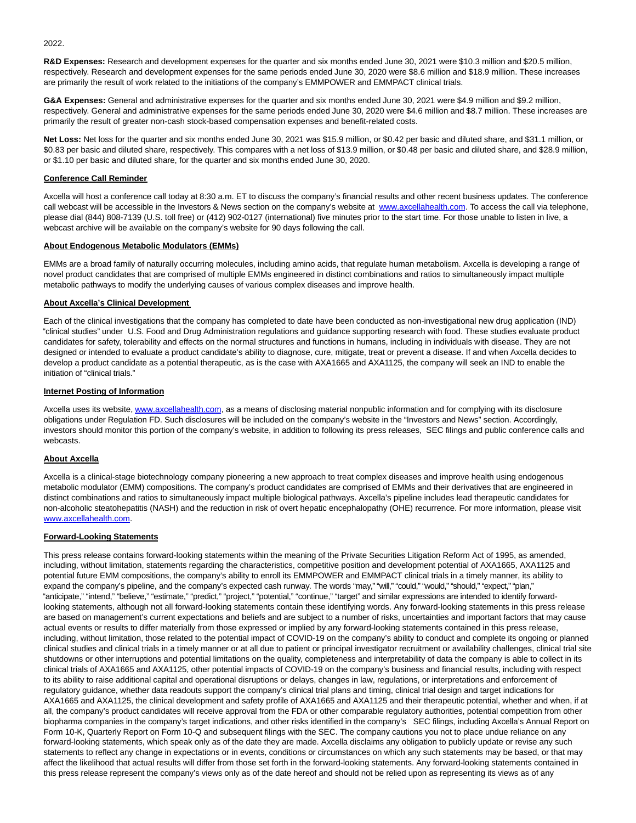2022.

**R&D Expenses:** Research and development expenses for the quarter and six months ended June 30, 2021 were \$10.3 million and \$20.5 million, respectively. Research and development expenses for the same periods ended June 30, 2020 were \$8.6 million and \$18.9 million. These increases are primarily the result of work related to the initiations of the company's EMMPOWER and EMMPACT clinical trials.

**G&A Expenses:** General and administrative expenses for the quarter and six months ended June 30, 2021 were \$4.9 million and \$9.2 million, respectively. General and administrative expenses for the same periods ended June 30, 2020 were \$4.6 million and \$8.7 million. These increases are primarily the result of greater non-cash stock-based compensation expenses and benefit-related costs.

**Net Loss:** Net loss for the quarter and six months ended June 30, 2021 was \$15.9 million, or \$0.42 per basic and diluted share, and \$31.1 million, or \$0.83 per basic and diluted share, respectively. This compares with a net loss of \$13.9 million, or \$0.48 per basic and diluted share, and \$28.9 million, or \$1.10 per basic and diluted share, for the quarter and six months ended June 30, 2020.

#### **Conference Call Reminder**

Axcella will host a conference call today at 8:30 a.m. ET to discuss the company's financial results and other recent business updates. The conference call webcast will be accessible in the Investors & News section on the company's website at [www.axcellahealth.com.](https://cts.businesswire.com/ct/CT?id=smartlink&url=http%3A%2F%2Fwww.axcellahealth.com&esheet=52467766&newsitemid=20210729005112&lan=en-US&anchor=www.axcellahealth.com&index=7&md5=0baf3821500aeca5da00d01d79f542c3) To access the call via telephone, please dial (844) 808-7139 (U.S. toll free) or (412) 902-0127 (international) five minutes prior to the start time. For those unable to listen in live, a webcast archive will be available on the company's website for 90 days following the call.

#### **About Endogenous Metabolic Modulators (EMMs)**

EMMs are a broad family of naturally occurring molecules, including amino acids, that regulate human metabolism. Axcella is developing a range of novel product candidates that are comprised of multiple EMMs engineered in distinct combinations and ratios to simultaneously impact multiple metabolic pathways to modify the underlying causes of various complex diseases and improve health.

#### **About Axcella's Clinical Development**

Each of the clinical investigations that the company has completed to date have been conducted as non-investigational new drug application (IND) "clinical studies" under U.S. Food and Drug Administration regulations and guidance supporting research with food. These studies evaluate product candidates for safety, tolerability and effects on the normal structures and functions in humans, including in individuals with disease. They are not designed or intended to evaluate a product candidate's ability to diagnose, cure, mitigate, treat or prevent a disease. If and when Axcella decides to develop a product candidate as a potential therapeutic, as is the case with AXA1665 and AXA1125, the company will seek an IND to enable the initiation of "clinical trials."

#### **Internet Posting of Information**

Axcella uses its website[, www.axcellahealth.com,](https://cts.businesswire.com/ct/CT?id=smartlink&url=http%3A%2F%2Fwww.axcellahealth.com&esheet=52467766&newsitemid=20210729005112&lan=en-US&anchor=www.axcellahealth.com&index=8&md5=a4a02a3041f0264f307e1e8eb3fbf796) as a means of disclosing material nonpublic information and for complying with its disclosure obligations under Regulation FD. Such disclosures will be included on the company's website in the "Investors and News" section. Accordingly, investors should monitor this portion of the company's website, in addition to following its press releases, SEC filings and public conference calls and webcasts.

## **About Axcella**

Axcella is a clinical-stage biotechnology company pioneering a new approach to treat complex diseases and improve health using endogenous metabolic modulator (EMM) compositions. The company's product candidates are comprised of EMMs and their derivatives that are engineered in distinct combinations and ratios to simultaneously impact multiple biological pathways. Axcella's pipeline includes lead therapeutic candidates for non-alcoholic steatohepatitis (NASH) and the reduction in risk of overt hepatic encephalopathy (OHE) recurrence. For more information, please visit [www.axcellahealth.com.](https://cts.businesswire.com/ct/CT?id=smartlink&url=http%3A%2F%2Fwww.axcellahealth.com&esheet=52467766&newsitemid=20210729005112&lan=en-US&anchor=www.axcellahealth.com&index=9&md5=d9f563a7002f962d673f943fa8cdc14e)

#### **Forward-Looking Statements**

This press release contains forward-looking statements within the meaning of the Private Securities Litigation Reform Act of 1995, as amended, including, without limitation, statements regarding the characteristics, competitive position and development potential of AXA1665, AXA1125 and potential future EMM compositions, the company's ability to enroll its EMMPOWER and EMMPACT clinical trials in a timely manner, its ability to expand the company's pipeline, and the company's expected cash runway. The words "may," "will," "could," "would," "should," "expect," "plan," "anticipate," "intend," "believe," "estimate," "predict," "project," "potential," "continue," "target" and similar expressions are intended to identify forwardlooking statements, although not all forward-looking statements contain these identifying words. Any forward-looking statements in this press release are based on management's current expectations and beliefs and are subject to a number of risks, uncertainties and important factors that may cause actual events or results to differ materially from those expressed or implied by any forward-looking statements contained in this press release, including, without limitation, those related to the potential impact of COVID-19 on the company's ability to conduct and complete its ongoing or planned clinical studies and clinical trials in a timely manner or at all due to patient or principal investigator recruitment or availability challenges, clinical trial site shutdowns or other interruptions and potential limitations on the quality, completeness and interpretability of data the company is able to collect in its clinical trials of AXA1665 and AXA1125, other potential impacts of COVID-19 on the company's business and financial results, including with respect to its ability to raise additional capital and operational disruptions or delays, changes in law, regulations, or interpretations and enforcement of regulatory guidance, whether data readouts support the company's clinical trial plans and timing, clinical trial design and target indications for AXA1665 and AXA1125, the clinical development and safety profile of AXA1665 and AXA1125 and their therapeutic potential, whether and when, if at all, the company's product candidates will receive approval from the FDA or other comparable regulatory authorities, potential competition from other biopharma companies in the company's target indications, and other risks identified in the company's SEC filings, including Axcella's Annual Report on Form 10-K, Quarterly Report on Form 10-Q and subsequent filings with the SEC. The company cautions you not to place undue reliance on any forward-looking statements, which speak only as of the date they are made. Axcella disclaims any obligation to publicly update or revise any such statements to reflect any change in expectations or in events, conditions or circumstances on which any such statements may be based, or that may affect the likelihood that actual results will differ from those set forth in the forward-looking statements. Any forward-looking statements contained in this press release represent the company's views only as of the date hereof and should not be relied upon as representing its views as of any